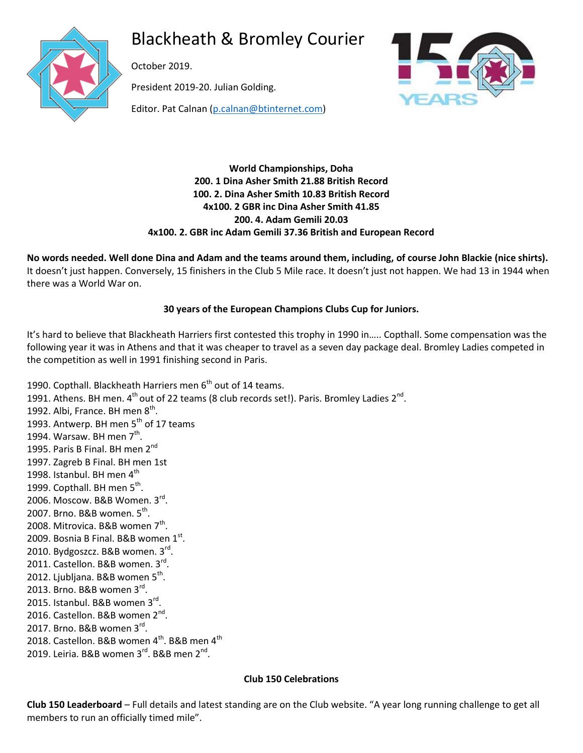

Blackheath & Bromley Courier

October 2019.

President 2019-20. Julian Golding.



Editor. Pat Calnan [\(p.calnan@btinternet.com\)](mailto:p.calnan@btinternet.com)

# **World Championships, Doha 200. 1 Dina Asher Smith 21.88 British Record 100. 2. Dina Asher Smith 10.83 British Record 4x100. 2 GBR inc Dina Asher Smith 41.85 200. 4. Adam Gemili 20.03 4x100. 2. GBR inc Adam Gemili 37.36 British and European Record**

**No words needed. Well done Dina and Adam and the teams around them, including, of course John Blackie (nice shirts).**  It doesn't just happen. Conversely, 15 finishers in the Club 5 Mile race. It doesn't just not happen. We had 13 in 1944 when there was a World War on.

# **30 years of the European Champions Clubs Cup for Juniors.**

It's hard to believe that Blackheath Harriers first contested this trophy in 1990 in….. Copthall. Some compensation was the following year it was in Athens and that it was cheaper to travel as a seven day package deal. Bromley Ladies competed in the competition as well in 1991 finishing second in Paris.

1990. Copthall. Blackheath Harriers men 6<sup>th</sup> out of 14 teams. 1991. Athens. BH men.  $4^{\text{th}}$  out of 22 teams (8 club records set!). Paris. Bromley Ladies 2<sup>nd</sup>. 1992. Albi, France. BH men  $8^{\text{th}}$ . 1993. Antwerp. BH men 5<sup>th</sup> of 17 teams 1994. Warsaw. BH men  $7<sup>th</sup>$ . 1995. Paris B Final. BH men 2<sup>nd</sup> 1997. Zagreb B Final. BH men 1st 1998. Istanbul. BH men 4<sup>th</sup> 1999. Copthall. BH men 5<sup>th</sup>. 2006. Moscow. B&B Women. 3rd. 2007. Brno. B&B women. 5<sup>th</sup>. 2008. Mitrovica. B&B women  $7<sup>th</sup>$ . 2009. Bosnia B Final. B&B women  $1^\text{st}$ . 2010. Bydgoszcz. B&B women. 3rd. 2011. Castellon. B&B women. 3rd. 2012. Ljubljana. B&B women 5<sup>th</sup>. 2013. Brno. B&B women 3rd. 2015. Istanbul. B&B women 3<sup>rd</sup>. 2016. Castellon. B&B women 2<sup>nd</sup>. 2017. Brno. B&B women 3rd. 2018. Castellon. B&B women 4<sup>th</sup>. B&B men 4<sup>th</sup> 2019. Leiria. B&B women 3<sup>rd</sup>. B&B men 2<sup>nd</sup>.

# **Club 150 Celebrations**

**Club 150 Leaderboard** – Full details and latest standing are on the Club website. "A year long running challenge to get all members to run an officially timed mile".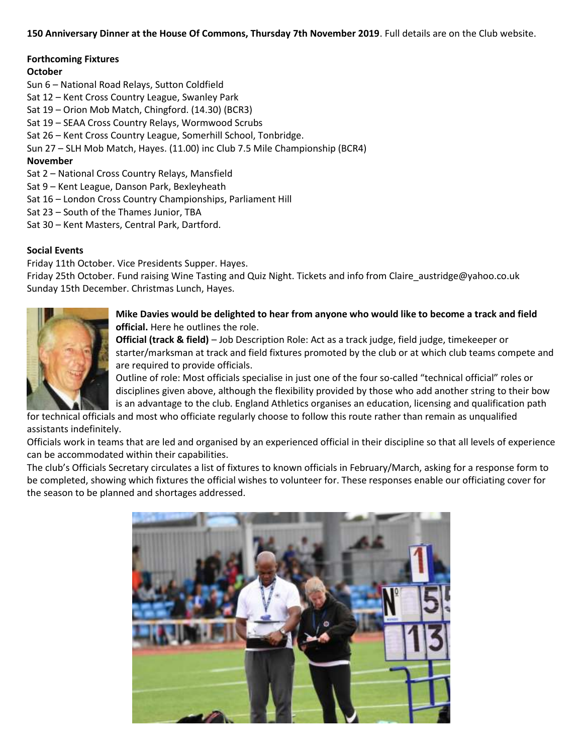### **150 Anniversary Dinner at the House Of Commons, Thursday 7th November 2019**. Full details are on the Club website.

### **Forthcoming Fixtures**

### **October**

- Sun 6 National Road Relays, Sutton Coldfield
- Sat 12 Kent Cross Country League, Swanley Park
- Sat 19 Orion Mob Match, Chingford. (14.30) (BCR3)
- Sat 19 SEAA Cross Country Relays, Wormwood Scrubs
- Sat 26 Kent Cross Country League, Somerhill School, Tonbridge.
- Sun 27 SLH Mob Match, Hayes. (11.00) inc Club 7.5 Mile Championship (BCR4)

# **November**

- Sat 2 National Cross Country Relays, Mansfield
- Sat 9 Kent League, Danson Park, Bexleyheath
- Sat 16 London Cross Country Championships, Parliament Hill
- Sat 23 South of the Thames Junior, TBA
- Sat 30 Kent Masters, Central Park, Dartford.

# **Social Events**

Friday 11th October. Vice Presidents Supper. Hayes.

Friday 25th October. Fund raising Wine Tasting and Quiz Night. Tickets and info from Claire\_austridge@yahoo.co.uk Sunday 15th December. Christmas Lunch, Hayes.



### **Mike Davies would be delighted to hear from anyone who would like to become a track and field official.** Here he outlines the role.

**Official (track & field)** – Job Description Role: Act as a track judge, field judge, timekeeper or starter/marksman at track and field fixtures promoted by the club or at which club teams compete and are required to provide officials.

Outline of role: Most officials specialise in just one of the four so-called "technical official" roles or disciplines given above, although the flexibility provided by those who add another string to their bow is an advantage to the club. England Athletics organises an education, licensing and qualification path

for technical officials and most who officiate regularly choose to follow this route rather than remain as unqualified assistants indefinitely.

Officials work in teams that are led and organised by an experienced official in their discipline so that all levels of experience can be accommodated within their capabilities.

The club's Officials Secretary circulates a list of fixtures to known officials in February/March, asking for a response form to be completed, showing which fixtures the official wishes to volunteer for. These responses enable our officiating cover for the season to be planned and shortages addressed.

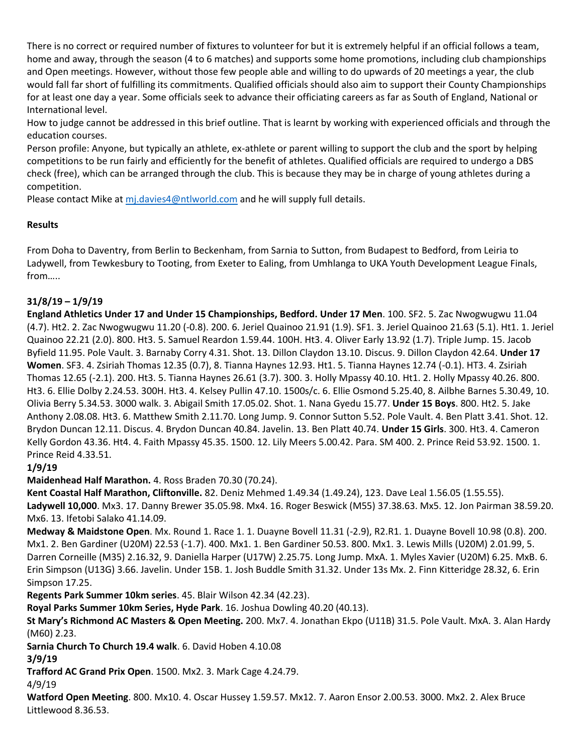There is no correct or required number of fixtures to volunteer for but it is extremely helpful if an official follows a team, home and away, through the season (4 to 6 matches) and supports some home promotions, including club championships and Open meetings. However, without those few people able and willing to do upwards of 20 meetings a year, the club would fall far short of fulfilling its commitments. Qualified officials should also aim to support their County Championships for at least one day a year. Some officials seek to advance their officiating careers as far as South of England, National or International level.

How to judge cannot be addressed in this brief outline. That is learnt by working with experienced officials and through the education courses.

Person profile: Anyone, but typically an athlete, ex-athlete or parent willing to support the club and the sport by helping competitions to be run fairly and efficiently for the benefit of athletes. Qualified officials are required to undergo a DBS check (free), which can be arranged through the club. This is because they may be in charge of young athletes during a competition.

Please contact Mike at [mj.davies4@ntlworld.com](mailto:mj.davies4@ntlworld.com) and he will supply full details.

# **Results**

From Doha to Daventry, from Berlin to Beckenham, from Sarnia to Sutton, from Budapest to Bedford, from Leiria to Ladywell, from Tewkesbury to Tooting, from Exeter to Ealing, from Umhlanga to UKA Youth Development League Finals, from…..

# **31/8/19 – 1/9/19**

**England Athletics Under 17 and Under 15 Championships, Bedford. Under 17 Men**. 100. SF2. 5. Zac Nwogwugwu 11.04 (4.7). Ht2. 2. Zac Nwogwugwu 11.20 (-0.8). 200. 6. Jeriel Quainoo 21.91 (1.9). SF1. 3. Jeriel Quainoo 21.63 (5.1). Ht1. 1. Jeriel Quainoo 22.21 (2.0). 800. Ht3. 5. Samuel Reardon 1.59.44. 100H. Ht3. 4. Oliver Early 13.92 (1.7). Triple Jump. 15. Jacob Byfield 11.95. Pole Vault. 3. Barnaby Corry 4.31. Shot. 13. Dillon Claydon 13.10. Discus. 9. Dillon Claydon 42.64. **Under 17 Women**. SF3. 4. Zsiriah Thomas 12.35 (0.7), 8. Tianna Haynes 12.93. Ht1. 5. Tianna Haynes 12.74 (-0.1). HT3. 4. Zsiriah Thomas 12.65 (-2.1). 200. Ht3. 5. Tianna Haynes 26.61 (3.7). 300. 3. Holly Mpassy 40.10. Ht1. 2. Holly Mpassy 40.26. 800. Ht3. 6. Ellie Dolby 2.24.53. 300H. Ht3. 4. Kelsey Pullin 47.10. 1500s/c. 6. Ellie Osmond 5.25.40, 8. Ailbhe Barnes 5.30.49, 10. Olivia Berry 5.34.53. 3000 walk. 3. Abigail Smith 17.05.02. Shot. 1. Nana Gyedu 15.77. **Under 15 Boys**. 800. Ht2. 5. Jake Anthony 2.08.08. Ht3. 6. Matthew Smith 2.11.70. Long Jump. 9. Connor Sutton 5.52. Pole Vault. 4. Ben Platt 3.41. Shot. 12. Brydon Duncan 12.11. Discus. 4. Brydon Duncan 40.84. Javelin. 13. Ben Platt 40.74. **Under 15 Girls**. 300. Ht3. 4. Cameron Kelly Gordon 43.36. Ht4. 4. Faith Mpassy 45.35. 1500. 12. Lily Meers 5.00.42. Para. SM 400. 2. Prince Reid 53.92. 1500. 1. Prince Reid 4.33.51.

# **1/9/19**

**Maidenhead Half Marathon.** 4. Ross Braden 70.30 (70.24).

**Kent Coastal Half Marathon, Cliftonville.** 82. Deniz Mehmed 1.49.34 (1.49.24), 123. Dave Leal 1.56.05 (1.55.55). **Ladywell 10,000**. Mx3. 17. Danny Brewer 35.05.98. Mx4. 16. Roger Beswick (M55) 37.38.63. Mx5. 12. Jon Pairman 38.59.20. Mx6. 13. Ifetobi Salako 41.14.09.

**Medway & Maidstone Open**. Mx. Round 1. Race 1. 1. Duayne Bovell 11.31 (-2.9), R2.R1. 1. Duayne Bovell 10.98 (0.8). 200. Mx1. 2. Ben Gardiner (U20M) 22.53 (-1.7). 400. Mx1. 1. Ben Gardiner 50.53. 800. Mx1. 3. Lewis Mills (U20M) 2.01.99, 5. Darren Corneille (M35) 2.16.32, 9. Daniella Harper (U17W) 2.25.75. Long Jump. MxA. 1. Myles Xavier (U20M) 6.25. MxB. 6. Erin Simpson (U13G) 3.66. Javelin. Under 15B. 1. Josh Buddle Smith 31.32. Under 13s Mx. 2. Finn Kitteridge 28.32, 6. Erin Simpson 17.25.

**Regents Park Summer 10km series**. 45. Blair Wilson 42.34 (42.23).

**Royal Parks Summer 10km Series, Hyde Park**. 16. Joshua Dowling 40.20 (40.13).

**St Mary's Richmond AC Masters & Open Meeting.** 200. Mx7. 4. Jonathan Ekpo (U11B) 31.5. Pole Vault. MxA. 3. Alan Hardy (M60) 2.23.

**Sarnia Church To Church 19.4 walk**. 6. David Hoben 4.10.08

**3/9/19**

**Trafford AC Grand Prix Open**. 1500. Mx2. 3. Mark Cage 4.24.79.

4/9/19

**Watford Open Meeting**. 800. Mx10. 4. Oscar Hussey 1.59.57. Mx12. 7. Aaron Ensor 2.00.53. 3000. Mx2. 2. Alex Bruce Littlewood 8.36.53.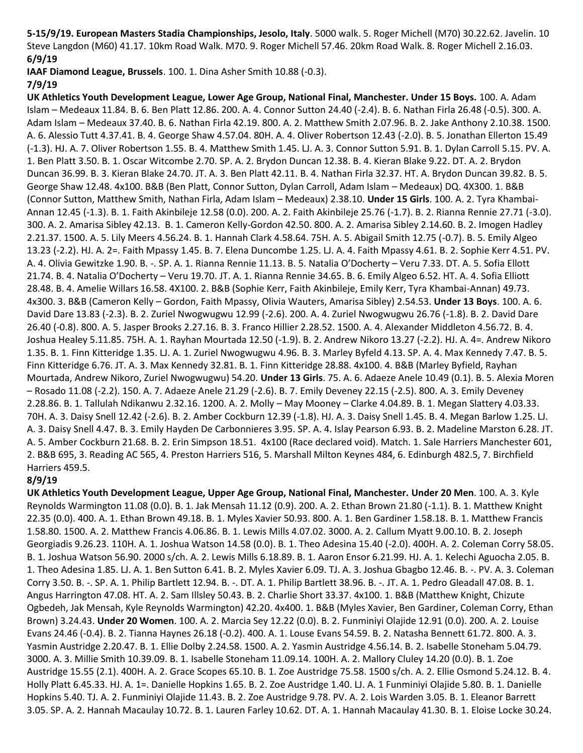**5-15/9/19. European Masters Stadia Championships, Jesolo, Italy**. 5000 walk. 5. Roger Michell (M70) 30.22.62. Javelin. 10 Steve Langdon (M60) 41.17. 10km Road Walk. M70. 9. Roger Michell 57.46. 20km Road Walk. 8. Roger Michell 2.16.03. **6/9/19**

**IAAF Diamond League, Brussels**. 100. 1. Dina Asher Smith 10.88 (-0.3).

### **7/9/19**

**UK Athletics Youth Development League, Lower Age Group, National Final, Manchester. Under 15 Boys.** 100. A. Adam Islam – Medeaux 11.84. B. 6. Ben Platt 12.86. 200. A. 4. Connor Sutton 24.40 (-2.4). B. 6. Nathan Firla 26.48 (-0.5). 300. A. Adam Islam – Medeaux 37.40. B. 6. Nathan Firla 42.19. 800. A. 2. Matthew Smith 2.07.96. B. 2. Jake Anthony 2.10.38. 1500. A. 6. Alessio Tutt 4.37.41. B. 4. George Shaw 4.57.04. 80H. A. 4. Oliver Robertson 12.43 (-2.0). B. 5. Jonathan Ellerton 15.49 (-1.3). HJ. A. 7. Oliver Robertson 1.55. B. 4. Matthew Smith 1.45. LJ. A. 3. Connor Sutton 5.91. B. 1. Dylan Carroll 5.15. PV. A. 1. Ben Platt 3.50. B. 1. Oscar Witcombe 2.70. SP. A. 2. Brydon Duncan 12.38. B. 4. Kieran Blake 9.22. DT. A. 2. Brydon Duncan 36.99. B. 3. Kieran Blake 24.70. JT. A. 3. Ben Platt 42.11. B. 4. Nathan Firla 32.37. HT. A. Brydon Duncan 39.82. B. 5. George Shaw 12.48. 4x100. B&B (Ben Platt, Connor Sutton, Dylan Carroll, Adam Islam – Medeaux) DQ. 4X300. 1. B&B (Connor Sutton, Matthew Smith, Nathan Firla, Adam Islam – Medeaux) 2.38.10. **Under 15 Girls**. 100. A. 2. Tyra Khambai-Annan 12.45 (-1.3). B. 1. Faith Akinbileje 12.58 (0.0). 200. A. 2. Faith Akinbileje 25.76 (-1.7). B. 2. Rianna Rennie 27.71 (-3.0). 300. A. 2. Amarisa Sibley 42.13. B. 1. Cameron Kelly-Gordon 42.50. 800. A. 2. Amarisa Sibley 2.14.60. B. 2. Imogen Hadley 2.21.37. 1500. A. 5. Lily Meers 4.56.24. B. 1. Hannah Clark 4.58.64. 75H. A. 5. Abigail Smith 12.75 (-0.7). B. 5. Emily Algeo 13.23 (-2.2). HJ. A. 2=. Faith Mpassy 1.45. B. 7. Elena Duncombe 1.25. LJ. A. 4. Faith Mpassy 4.61. B. 2. Sophie Kerr 4.51. PV. A. 4. Olivia Gewitzke 1.90. B. -. SP. A. 1. Rianna Rennie 11.13. B. 5. Natalia O'Docherty – Veru 7.33. DT. A. 5. Sofia Ellott 21.74. B. 4. Natalia O'Docherty – Veru 19.70. JT. A. 1. Rianna Rennie 34.65. B. 6. Emily Algeo 6.52. HT. A. 4. Sofia Elliott 28.48. B. 4. Amelie Willars 16.58. 4X100. 2. B&B (Sophie Kerr, Faith Akinbileje, Emily Kerr, Tyra Khambai-Annan) 49.73. 4x300. 3. B&B (Cameron Kelly – Gordon, Faith Mpassy, Olivia Wauters, Amarisa Sibley) 2.54.53. **Under 13 Boys**. 100. A. 6. David Dare 13.83 (-2.3). B. 2. Zuriel Nwogwugwu 12.99 (-2.6). 200. A. 4. Zuriel Nwogwugwu 26.76 (-1.8). B. 2. David Dare 26.40 (-0.8). 800. A. 5. Jasper Brooks 2.27.16. B. 3. Franco Hillier 2.28.52. 1500. A. 4. Alexander Middleton 4.56.72. B. 4. Joshua Healey 5.11.85. 75H. A. 1. Rayhan Mourtada 12.50 (-1.9). B. 2. Andrew Nikoro 13.27 (-2.2). HJ. A. 4=. Andrew Nikoro 1.35. B. 1. Finn Kitteridge 1.35. LJ. A. 1. Zuriel Nwogwugwu 4.96. B. 3. Marley Byfeld 4.13. SP. A. 4. Max Kennedy 7.47. B. 5. Finn Kitteridge 6.76. JT. A. 3. Max Kennedy 32.81. B. 1. Finn Kitteridge 28.88. 4x100. 4. B&B (Marley Byfield, Rayhan Mourtada, Andrew Nikoro, Zuriel Nwogwugwu) 54.20. **Under 13 Girls**. 75. A. 6. Adaeze Anele 10.49 (0.1). B. 5. Alexia Moren – Rosado 11.08 (-2.2). 150. A. 7. Adaeze Anele 21.29 (-2.6). B. 7. Emily Deveney 22.15 (-2.5). 800. A. 3. Emily Deveney 2.28.86. B. 1. Tallulah Ndikanwu 2.32.16. 1200. A. 2. Molly – May Mooney – Clarke 4.04.89. B. 1. Megan Slattery 4.03.33. 70H. A. 3. Daisy Snell 12.42 (-2.6). B. 2. Amber Cockburn 12.39 (-1.8). HJ. A. 3. Daisy Snell 1.45. B. 4. Megan Barlow 1.25. LJ. A. 3. Daisy Snell 4.47. B. 3. Emily Hayden De Carbonnieres 3.95. SP. A. 4. Islay Pearson 6.93. B. 2. Madeline Marston 6.28. JT. A. 5. Amber Cockburn 21.68. B. 2. Erin Simpson 18.51. 4x100 (Race declared void). Match. 1. Sale Harriers Manchester 601, 2. B&B 695, 3. Reading AC 565, 4. Preston Harriers 516, 5. Marshall Milton Keynes 484, 6. Edinburgh 482.5, 7. Birchfield Harriers 459.5.

#### **8/9/19**

**UK Athletics Youth Development League, Upper Age Group, National Final, Manchester. Under 20 Men**. 100. A. 3. Kyle Reynolds Warmington 11.08 (0.0). B. 1. Jak Mensah 11.12 (0.9). 200. A. 2. Ethan Brown 21.80 (-1.1). B. 1. Matthew Knight 22.35 (0.0). 400. A. 1. Ethan Brown 49.18. B. 1. Myles Xavier 50.93. 800. A. 1. Ben Gardiner 1.58.18. B. 1. Matthew Francis 1.58.80. 1500. A. 2. Matthew Francis 4.06.86. B. 1. Lewis Mills 4.07.02. 3000. A. 2. Callum Myatt 9.00.10. B. 2. Joseph Georgiadis 9.26.23. 110H. A. 1. Joshua Watson 14.58 (0.0). B. 1. Theo Adesina 15.40 (-2.0). 400H. A. 2. Coleman Corry 58.05. B. 1. Joshua Watson 56.90. 2000 s/ch. A. 2. Lewis Mills 6.18.89. B. 1. Aaron Ensor 6.21.99. HJ. A. 1. Kelechi Aguocha 2.05. B. 1. Theo Adesina 1.85. LJ. A. 1. Ben Sutton 6.41. B. 2. Myles Xavier 6.09. TJ. A. 3. Joshua Gbagbo 12.46. B. -. PV. A. 3. Coleman Corry 3.50. B. -. SP. A. 1. Philip Bartlett 12.94. B. -. DT. A. 1. Philip Bartlett 38.96. B. -. JT. A. 1. Pedro Gleadall 47.08. B. 1. Angus Harrington 47.08. HT. A. 2. Sam Illsley 50.43. B. 2. Charlie Short 33.37. 4x100. 1. B&B (Matthew Knight, Chizute Ogbedeh, Jak Mensah, Kyle Reynolds Warmington) 42.20. 4x400. 1. B&B (Myles Xavier, Ben Gardiner, Coleman Corry, Ethan Brown) 3.24.43. **Under 20 Women**. 100. A. 2. Marcia Sey 12.22 (0.0). B. 2. Funminiyi Olajide 12.91 (0.0). 200. A. 2. Louise Evans 24.46 (-0.4). B. 2. Tianna Haynes 26.18 (-0.2). 400. A. 1. Louse Evans 54.59. B. 2. Natasha Bennett 61.72. 800. A. 3. Yasmin Austridge 2.20.47. B. 1. Ellie Dolby 2.24.58. 1500. A. 2. Yasmin Austridge 4.56.14. B. 2. Isabelle Stoneham 5.04.79. 3000. A. 3. Millie Smith 10.39.09. B. 1. Isabelle Stoneham 11.09.14. 100H. A. 2. Mallory Cluley 14.20 (0.0). B. 1. Zoe Austridge 15.55 (2.1). 400H. A. 2. Grace Scopes 65.10. B. 1. Zoe Austridge 75.58. 1500 s/ch. A. 2. Ellie Osmond 5.24.12. B. 4. Holly Platt 6.45.33. HJ. A. 1=. Danielle Hopkins 1.65. B. 2. Zoe Austridge 1.40. LJ. A. 1 Funminiyi Olajide 5.80. B. 1. Danielle Hopkins 5.40. TJ. A. 2. Funminiyi Olajide 11.43. B. 2. Zoe Austridge 9.78. PV. A. 2. Lois Warden 3.05. B. 1. Eleanor Barrett 3.05. SP. A. 2. Hannah Macaulay 10.72. B. 1. Lauren Farley 10.62. DT. A. 1. Hannah Macaulay 41.30. B. 1. Eloise Locke 30.24.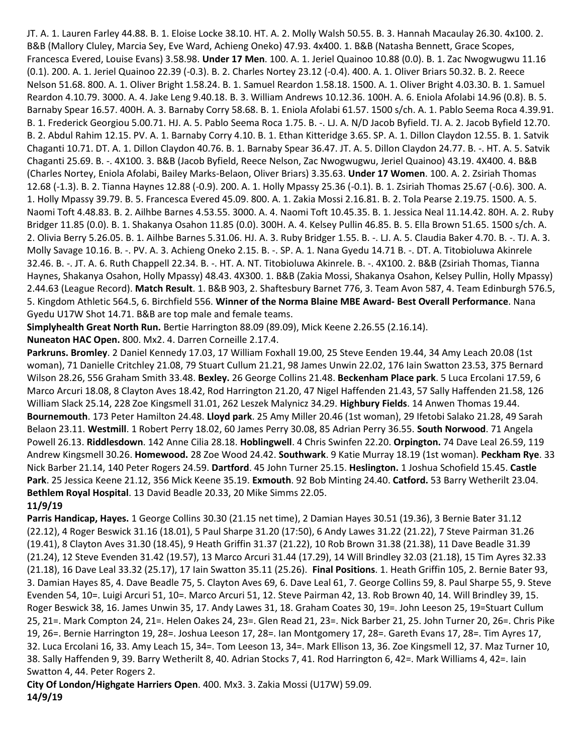JT. A. 1. Lauren Farley 44.88. B. 1. Eloise Locke 38.10. HT. A. 2. Molly Walsh 50.55. B. 3. Hannah Macaulay 26.30. 4x100. 2. B&B (Mallory Cluley, Marcia Sey, Eve Ward, Achieng Oneko) 47.93. 4x400. 1. B&B (Natasha Bennett, Grace Scopes, Francesca Evered, Louise Evans) 3.58.98. **Under 17 Men**. 100. A. 1. Jeriel Quainoo 10.88 (0.0). B. 1. Zac Nwogwugwu 11.16 (0.1). 200. A. 1. Jeriel Quainoo 22.39 (-0.3). B. 2. Charles Nortey 23.12 (-0.4). 400. A. 1. Oliver Briars 50.32. B. 2. Reece Nelson 51.68. 800. A. 1. Oliver Bright 1.58.24. B. 1. Samuel Reardon 1.58.18. 1500. A. 1. Oliver Bright 4.03.30. B. 1. Samuel Reardon 4.10.79. 3000. A. 4. Jake Leng 9.40.18. B. 3. William Andrews 10.12.36. 100H. A. 6. Eniola Afolabi 14.96 (0.8). B. 5. Barnaby Spear 16.57. 400H. A. 3. Barnaby Corry 58.68. B. 1. Eniola Afolabi 61.57. 1500 s/ch. A. 1. Pablo Seema Roca 4.39.91. B. 1. Frederick Georgiou 5.00.71. HJ. A. 5. Pablo Seema Roca 1.75. B. -. LJ. A. N/D Jacob Byfield. TJ. A. 2. Jacob Byfield 12.70. B. 2. Abdul Rahim 12.15. PV. A. 1. Barnaby Corry 4.10. B. 1. Ethan Kitteridge 3.65. SP. A. 1. Dillon Claydon 12.55. B. 1. Satvik Chaganti 10.71. DT. A. 1. Dillon Claydon 40.76. B. 1. Barnaby Spear 36.47. JT. A. 5. Dillon Claydon 24.77. B. -. HT. A. 5. Satvik Chaganti 25.69. B. -. 4X100. 3. B&B (Jacob Byfield, Reece Nelson, Zac Nwogwugwu, Jeriel Quainoo) 43.19. 4X400. 4. B&B (Charles Nortey, Eniola Afolabi, Bailey Marks-Belaon, Oliver Briars) 3.35.63. **Under 17 Women**. 100. A. 2. Zsiriah Thomas 12.68 (-1.3). B. 2. Tianna Haynes 12.88 (-0.9). 200. A. 1. Holly Mpassy 25.36 (-0.1). B. 1. Zsiriah Thomas 25.67 (-0.6). 300. A. 1. Holly Mpassy 39.79. B. 5. Francesca Evered 45.09. 800. A. 1. Zakia Mossi 2.16.81. B. 2. Tola Pearse 2.19.75. 1500. A. 5. Naomi Toft 4.48.83. B. 2. Ailhbe Barnes 4.53.55. 3000. A. 4. Naomi Toft 10.45.35. B. 1. Jessica Neal 11.14.42. 80H. A. 2. Ruby Bridger 11.85 (0.0). B. 1. Shakanya Osahon 11.85 (0.0). 300H. A. 4. Kelsey Pullin 46.85. B. 5. Ella Brown 51.65. 1500 s/ch. A. 2. Olivia Berry 5.26.05. B. 1. Ailhbe Barnes 5.31.06. HJ. A. 3. Ruby Bridger 1.55. B. -. LJ. A. 5. Claudia Baker 4.70. B. -. TJ. A. 3. Molly Savage 10.16. B. -. PV. A. 3. Achieng Oneko 2.15. B. -. SP. A. 1. Nana Gyedu 14.71 B. -. DT. A. Titobioluwa Akinrele 32.46. B. -. JT. A. 6. Ruth Chappell 22.34. B. -. HT. A. NT. Titobioluwa Akinrele. B. -. 4X100. 2. B&B (Zsiriah Thomas, Tianna Haynes, Shakanya Osahon, Holly Mpassy) 48.43. 4X300. 1. B&B (Zakia Mossi, Shakanya Osahon, Kelsey Pullin, Holly Mpassy) 2.44.63 (League Record). **Match Result**. 1. B&B 903, 2. Shaftesbury Barnet 776, 3. Team Avon 587, 4. Team Edinburgh 576.5, 5. Kingdom Athletic 564.5, 6. Birchfield 556. **Winner of the Norma Blaine MBE Award- Best Overall Performance**. Nana Gyedu U17W Shot 14.71. B&B are top male and female teams.

**Simplyhealth Great North Run.** Bertie Harrington 88.09 (89.09), Mick Keene 2.26.55 (2.16.14).

**Nuneaton HAC Open.** 800. Mx2. 4. Darren Corneille 2.17.4.

**Parkruns. Bromley**. 2 Daniel Kennedy 17.03, 17 William Foxhall 19.00, 25 Steve Eenden 19.44, 34 Amy Leach 20.08 (1st woman), 71 Danielle Critchley 21.08, 79 Stuart Cullum 21.21, 98 James Unwin 22.02, 176 Iain Swatton 23.53, 375 Bernard Wilson 28.26, 556 Graham Smith 33.48. **Bexley.** 26 George Collins 21.48. **Beckenham Place park**. 5 Luca Ercolani 17.59, 6 Marco Arcuri 18.08, 8 Clayton Aves 18.42, Rod Harrington 21.20, 47 Nigel Haffenden 21.43, 57 Sally Haffenden 21.58, 126 William Slack 25.14, 228 Zoe Kingsmell 31.01, 262 Leszek Malynicz 34.29. **Highbury Fields**. 14 Anwen Thomas 19.44. **Bournemouth**. 173 Peter Hamilton 24.48. **Lloyd park**. 25 Amy Miller 20.46 (1st woman), 29 Ifetobi Salako 21.28, 49 Sarah Belaon 23.11. **Westmill**. 1 Robert Perry 18.02, 60 James Perry 30.08, 85 Adrian Perry 36.55. **South Norwood**. 71 Angela Powell 26.13. **Riddlesdown**. 142 Anne Cilia 28.18. **Hoblingwell**. 4 Chris Swinfen 22.20. **Orpington.** 74 Dave Leal 26.59, 119 Andrew Kingsmell 30.26. **Homewood.** 28 Zoe Wood 24.42. **Southwark**. 9 Katie Murray 18.19 (1st woman). **Peckham Rye**. 33 Nick Barber 21.14, 140 Peter Rogers 24.59. **Dartford**. 45 John Turner 25.15. **Heslington.** 1 Joshua Schofield 15.45. **Castle Park**. 25 Jessica Keene 21.12, 356 Mick Keene 35.19. **Exmouth**. 92 Bob Minting 24.40. **Catford.** 53 Barry Wetherilt 23.04. **Bethlem Royal Hospital**. 13 David Beadle 20.33, 20 Mike Simms 22.05.

**11/9/19**

**Parris Handicap, Hayes.** 1 George Collins 30.30 (21.15 net time), 2 Damian Hayes 30.51 (19.36), 3 Bernie Bater 31.12 (22.12), 4 Roger Beswick 31.16 (18.01), 5 Paul Sharpe 31.20 (17:50), 6 Andy Lawes 31.22 (21.22), 7 Steve Pairman 31.26 (19.41), 8 Clayton Aves 31.30 (18.45), 9 Heath Griffin 31.37 (21.22), 10 Rob Brown 31.38 (21.38), 11 Dave Beadle 31.39 (21.24), 12 Steve Evenden 31.42 (19.57), 13 Marco Arcuri 31.44 (17.29), 14 Will Brindley 32.03 (21.18), 15 Tim Ayres 32.33 (21.18), 16 Dave Leal 33.32 (25.17), 17 Iain Swatton 35.11 (25.26). **Final Positions**. 1. Heath Griffin 105, 2. Bernie Bater 93, 3. Damian Hayes 85, 4. Dave Beadle 75, 5. Clayton Aves 69, 6. Dave Leal 61, 7. George Collins 59, 8. Paul Sharpe 55, 9. Steve Evenden 54, 10=. Luigi Arcuri 51, 10=. Marco Arcuri 51, 12. Steve Pairman 42, 13. Rob Brown 40, 14. Will Brindley 39, 15. Roger Beswick 38, 16. James Unwin 35, 17. Andy Lawes 31, 18. Graham Coates 30, 19=. John Leeson 25, 19=Stuart Cullum 25, 21=. Mark Compton 24, 21=. Helen Oakes 24, 23=. Glen Read 21, 23=. Nick Barber 21, 25. John Turner 20, 26=. Chris Pike 19, 26=. Bernie Harrington 19, 28=. Joshua Leeson 17, 28=. Ian Montgomery 17, 28=. Gareth Evans 17, 28=. Tim Ayres 17, 32. Luca Ercolani 16, 33. Amy Leach 15, 34=. Tom Leeson 13, 34=. Mark Ellison 13, 36. Zoe Kingsmell 12, 37. Maz Turner 10, 38. Sally Haffenden 9, 39. Barry Wetherilt 8, 40. Adrian Stocks 7, 41. Rod Harrington 6, 42=. Mark Williams 4, 42=. Iain Swatton 4, 44. Peter Rogers 2.

**City Of London/Highgate Harriers Open**. 400. Mx3. 3. Zakia Mossi (U17W) 59.09. **14/9/19**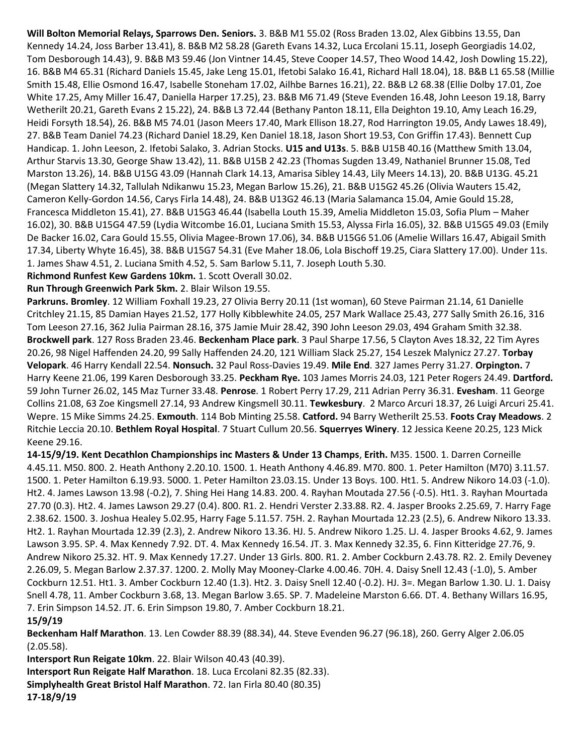**Will Bolton Memorial Relays, Sparrows Den. Seniors.** 3. B&B M1 55.02 (Ross Braden 13.02, Alex Gibbins 13.55, Dan Kennedy 14.24, Joss Barber 13.41), 8. B&B M2 58.28 (Gareth Evans 14.32, Luca Ercolani 15.11, Joseph Georgiadis 14.02, Tom Desborough 14.43), 9. B&B M3 59.46 (Jon Vintner 14.45, Steve Cooper 14.57, Theo Wood 14.42, Josh Dowling 15.22), 16. B&B M4 65.31 (Richard Daniels 15.45, Jake Leng 15.01, Ifetobi Salako 16.41, Richard Hall 18.04), 18. B&B L1 65.58 (Millie Smith 15.48, Ellie Osmond 16.47, Isabelle Stoneham 17.02, Ailhbe Barnes 16.21), 22. B&B L2 68.38 (Ellie Dolby 17.01, Zoe White 17.25, Amy Miller 16.47, Daniella Harper 17.25), 23. B&B M6 71.49 (Steve Evenden 16.48, John Leeson 19.18, Barry Wetherilt 20.21, Gareth Evans 2 15.22), 24. B&B L3 72.44 (Bethany Panton 18.11, Ella Deighton 19.10, Amy Leach 16.29, Heidi Forsyth 18.54), 26. B&B M5 74.01 (Jason Meers 17.40, Mark Ellison 18.27, Rod Harrington 19.05, Andy Lawes 18.49), 27. B&B Team Daniel 74.23 (Richard Daniel 18.29, Ken Daniel 18.18, Jason Short 19.53, Con Griffin 17.43). Bennett Cup Handicap. 1. John Leeson, 2. Ifetobi Salako, 3. Adrian Stocks. **U15 and U13s**. 5. B&B U15B 40.16 (Matthew Smith 13.04, Arthur Starvis 13.30, George Shaw 13.42), 11. B&B U15B 2 42.23 (Thomas Sugden 13.49, Nathaniel Brunner 15.08, Ted Marston 13.26), 14. B&B U15G 43.09 (Hannah Clark 14.13, Amarisa Sibley 14.43, Lily Meers 14.13), 20. B&B U13G. 45.21 (Megan Slattery 14.32, Tallulah Ndikanwu 15.23, Megan Barlow 15.26), 21. B&B U15G2 45.26 (Olivia Wauters 15.42, Cameron Kelly-Gordon 14.56, Carys Firla 14.48), 24. B&B U13G2 46.13 (Maria Salamanca 15.04, Amie Gould 15.28, Francesca Middleton 15.41), 27. B&B U15G3 46.44 (Isabella Louth 15.39, Amelia Middleton 15.03, Sofia Plum – Maher 16.02), 30. B&B U15G4 47.59 (Lydia Witcombe 16.01, Luciana Smith 15.53, Alyssa Firla 16.05), 32. B&B U15G5 49.03 (Emily De Backer 16.02, Cara Gould 15.55, Olivia Magee-Brown 17.06), 34. B&B U15G6 51.06 (Amelie Willars 16.47, Abigail Smith 17.34, Liberty Whyte 16.45), 38. B&B U15G7 54.31 (Eve Maher 18.06, Lola Bischoff 19.25, Ciara Slattery 17.00). Under 11s. 1. James Shaw 4.51, 2. Luciana Smith 4.52, 5. Sam Barlow 5.11, 7. Joseph Louth 5.30.

**Richmond Runfest Kew Gardens 10km.** 1. Scott Overall 30.02.

**Run Through Greenwich Park 5km.** 2. Blair Wilson 19.55.

**Parkruns. Bromley**. 12 William Foxhall 19.23, 27 Olivia Berry 20.11 (1st woman), 60 Steve Pairman 21.14, 61 Danielle Critchley 21.15, 85 Damian Hayes 21.52, 177 Holly Kibblewhite 24.05, 257 Mark Wallace 25.43, 277 Sally Smith 26.16, 316 Tom Leeson 27.16, 362 Julia Pairman 28.16, 375 Jamie Muir 28.42, 390 John Leeson 29.03, 494 Graham Smith 32.38. **Brockwell park**. 127 Ross Braden 23.46. **Beckenham Place park**. 3 Paul Sharpe 17.56, 5 Clayton Aves 18.32, 22 Tim Ayres 20.26, 98 Nigel Haffenden 24.20, 99 Sally Haffenden 24.20, 121 William Slack 25.27, 154 Leszek Malynicz 27.27. **Torbay Velopark**. 46 Harry Kendall 22.54. **Nonsuch.** 32 Paul Ross-Davies 19.49. **Mile End**. 327 James Perry 31.27. **Orpington.** 7 Harry Keene 21.06, 199 Karen Desborough 33.25. **Peckham Rye.** 103 James Morris 24.03, 121 Peter Rogers 24.49. **Dartford.** 59 John Turner 26.02, 145 Maz Turner 33.48. **Penrose**. 1 Robert Perry 17.29, 211 Adrian Perry 36.31. **Evesham**. 11 George Collins 21.08, 63 Zoe Kingsmell 27.14, 93 Andrew Kingsmell 30.11. **Tewkesbury**. 2 Marco Arcuri 18.37, 26 Luigi Arcuri 25.41. Wepre. 15 Mike Simms 24.25. **Exmouth**. 114 Bob Minting 25.58. **Catford.** 94 Barry Wetherilt 25.53. **Foots Cray Meadows**. 2 Ritchie Leccia 20.10. **Bethlem Royal Hospital**. 7 Stuart Cullum 20.56. **Squerryes Winery**. 12 Jessica Keene 20.25, 123 Mick Keene 29.16.

**14-15/9/19. Kent Decathlon Championships inc Masters & Under 13 Champs**, **Erith.** M35. 1500. 1. Darren Corneille 4.45.11. M50. 800. 2. Heath Anthony 2.20.10. 1500. 1. Heath Anthony 4.46.89. M70. 800. 1. Peter Hamilton (M70) 3.11.57. 1500. 1. Peter Hamilton 6.19.93. 5000. 1. Peter Hamilton 23.03.15. Under 13 Boys. 100. Ht1. 5. Andrew Nikoro 14.03 (-1.0). Ht2. 4. James Lawson 13.98 (-0.2), 7. Shing Hei Hang 14.83. 200. 4. Rayhan Moutada 27.56 (-0.5). Ht1. 3. Rayhan Mourtada 27.70 (0.3). Ht2. 4. James Lawson 29.27 (0.4). 800. R1. 2. Hendri Verster 2.33.88. R2. 4. Jasper Brooks 2.25.69, 7. Harry Fage 2.38.62. 1500. 3. Joshua Healey 5.02.95, Harry Fage 5.11.57. 75H. 2. Rayhan Mourtada 12.23 (2.5), 6. Andrew Nikoro 13.33. Ht2. 1. Rayhan Mourtada 12.39 (2.3), 2. Andrew Nikoro 13.36. HJ. 5. Andrew Nikoro 1.25. LJ. 4. Jasper Brooks 4.62, 9. James Lawson 3.95. SP. 4. Max Kennedy 7.92. DT. 4. Max Kennedy 16.54. JT. 3. Max Kennedy 32.35, 6. Finn Kitteridge 27.76, 9. Andrew Nikoro 25.32. HT. 9. Max Kennedy 17.27. Under 13 Girls. 800. R1. 2. Amber Cockburn 2.43.78. R2. 2. Emily Deveney 2.26.09, 5. Megan Barlow 2.37.37. 1200. 2. Molly May Mooney-Clarke 4.00.46. 70H. 4. Daisy Snell 12.43 (-1.0), 5. Amber Cockburn 12.51. Ht1. 3. Amber Cockburn 12.40 (1.3). Ht2. 3. Daisy Snell 12.40 (-0.2). HJ. 3=. Megan Barlow 1.30. LJ. 1. Daisy Snell 4.78, 11. Amber Cockburn 3.68, 13. Megan Barlow 3.65. SP. 7. Madeleine Marston 6.66. DT. 4. Bethany Willars 16.95, 7. Erin Simpson 14.52. JT. 6. Erin Simpson 19.80, 7. Amber Cockburn 18.21.

# **15/9/19**

**Beckenham Half Marathon**. 13. Len Cowder 88.39 (88.34), 44. Steve Evenden 96.27 (96.18), 260. Gerry Alger 2.06.05 (2.05.58).

**Intersport Run Reigate 10km**. 22. Blair Wilson 40.43 (40.39). **Intersport Run Reigate Half Marathon**. 18. Luca Ercolani 82.35 (82.33). **Simplyhealth Great Bristol Half Marathon**. 72. Ian Firla 80.40 (80.35) **17-18/9/19**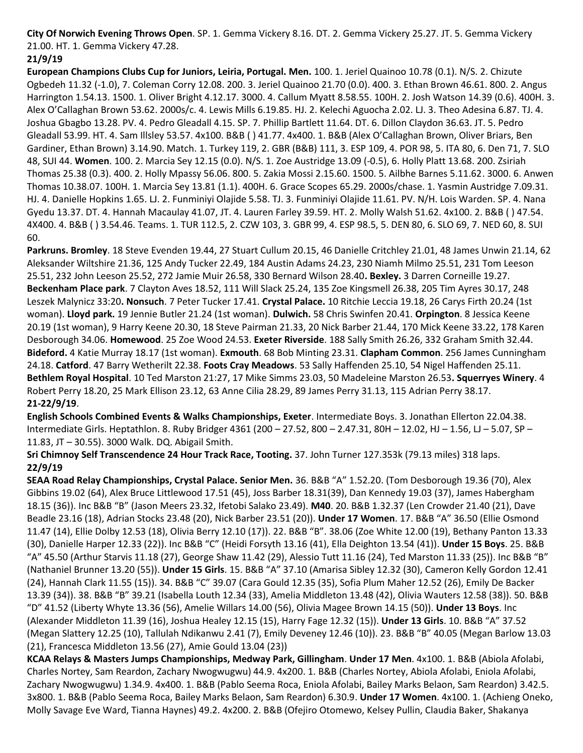**City Of Norwich Evening Throws Open**. SP. 1. Gemma Vickery 8.16. DT. 2. Gemma Vickery 25.27. JT. 5. Gemma Vickery 21.00. HT. 1. Gemma Vickery 47.28.

# **21/9/19**

**European Champions Clubs Cup for Juniors, Leiria, Portugal. Men.** 100. 1. Jeriel Quainoo 10.78 (0.1). N/S. 2. Chizute Ogbedeh 11.32 (-1.0), 7. Coleman Corry 12.08. 200. 3. Jeriel Quainoo 21.70 (0.0). 400. 3. Ethan Brown 46.61. 800. 2. Angus Harrington 1.54.13. 1500. 1. Oliver Bright 4.12.17. 3000. 4. Callum Myatt 8.58.55. 100H. 2. Josh Watson 14.39 (0.6). 400H. 3. Alex O'Callaghan Brown 53.62. 2000s/c. 4. Lewis Mills 6.19.85. HJ. 2. Kelechi Aguocha 2.02. LJ. 3. Theo Adesina 6.87. TJ. 4. Joshua Gbagbo 13.28. PV. 4. Pedro Gleadall 4.15. SP. 7. Phillip Bartlett 11.64. DT. 6. Dillon Claydon 36.63. JT. 5. Pedro Gleadall 53.99. HT. 4. Sam Illsley 53.57. 4x100. B&B ( ) 41.77. 4x400. 1. B&B (Alex O'Callaghan Brown, Oliver Briars, Ben Gardiner, Ethan Brown) 3.14.90. Match. 1. Turkey 119, 2. GBR (B&B) 111, 3. ESP 109, 4. POR 98, 5. ITA 80, 6. Den 71, 7. SLO 48, SUI 44. **Women**. 100. 2. Marcia Sey 12.15 (0.0). N/S. 1. Zoe Austridge 13.09 (-0.5), 6. Holly Platt 13.68. 200. Zsiriah Thomas 25.38 (0.3). 400. 2. Holly Mpassy 56.06. 800. 5. Zakia Mossi 2.15.60. 1500. 5. Ailbhe Barnes 5.11.62. 3000. 6. Anwen Thomas 10.38.07. 100H. 1. Marcia Sey 13.81 (1.1). 400H. 6. Grace Scopes 65.29. 2000s/chase. 1. Yasmin Austridge 7.09.31. HJ. 4. Danielle Hopkins 1.65. LJ. 2. Funminiyi Olajide 5.58. TJ. 3. Funminiyi Olajide 11.61. PV. N/H. Lois Warden. SP. 4. Nana Gyedu 13.37. DT. 4. Hannah Macaulay 41.07, JT. 4. Lauren Farley 39.59. HT. 2. Molly Walsh 51.62. 4x100. 2. B&B ( ) 47.54. 4X400. 4. B&B ( ) 3.54.46. Teams. 1. TUR 112.5, 2. CZW 103, 3. GBR 99, 4. ESP 98.5, 5. DEN 80, 6. SLO 69, 7. NED 60, 8. SUI 60.

**Parkruns. Bromley**. 18 Steve Evenden 19.44, 27 Stuart Cullum 20.15, 46 Danielle Critchley 21.01, 48 James Unwin 21.14, 62 Aleksander Wiltshire 21.36, 125 Andy Tucker 22.49, 184 Austin Adams 24.23, 230 Niamh Milmo 25.51, 231 Tom Leeson 25.51, 232 John Leeson 25.52, 272 Jamie Muir 26.58, 330 Bernard Wilson 28.40**. Bexley.** 3 Darren Corneille 19.27. **Beckenham Place park**. 7 Clayton Aves 18.52, 111 Will Slack 25.24, 135 Zoe Kingsmell 26.38, 205 Tim Ayres 30.17, 248 Leszek Malynicz 33:20**. Nonsuch**. 7 Peter Tucker 17.41. **Crystal Palace.** 10 Ritchie Leccia 19.18, 26 Carys Firth 20.24 (1st woman). **Lloyd park.** 19 Jennie Butler 21.24 (1st woman). **Dulwich.** 58 Chris Swinfen 20.41. **Orpington**. 8 Jessica Keene 20.19 (1st woman), 9 Harry Keene 20.30, 18 Steve Pairman 21.33, 20 Nick Barber 21.44, 170 Mick Keene 33.22, 178 Karen Desborough 34.06. **Homewood**. 25 Zoe Wood 24.53. **Exeter Riverside**. 188 Sally Smith 26.26, 332 Graham Smith 32.44. **Bideford.** 4 Katie Murray 18.17 (1st woman). **Exmouth**. 68 Bob Minting 23.31. **Clapham Common**. 256 James Cunningham 24.18. **Catford**. 47 Barry Wetherilt 22.38. **Foots Cray Meadows**. 53 Sally Haffenden 25.10, 54 Nigel Haffenden 25.11. **Bethlem Royal Hospital**. 10 Ted Marston 21:27, 17 Mike Simms 23.03, 50 Madeleine Marston 26.53**. Squerryes Winery**. 4 Robert Perry 18.20, 25 Mark Ellison 23.12, 63 Anne Cilia 28.29, 89 James Perry 31.13, 115 Adrian Perry 38.17. **21-22/9/19**.

**English Schools Combined Events & Walks Championships, Exeter**. Intermediate Boys. 3. Jonathan Ellerton 22.04.38. Intermediate Girls. Heptathlon. 8. Ruby Bridger 4361 (200 – 27.52, 800 – 2.47.31, 80H – 12.02, HJ – 1.56, LJ – 5.07, SP – 11.83, JT – 30.55). 3000 Walk. DQ. Abigail Smith.

**Sri Chimnoy Self Transcendence 24 Hour Track Race, Tooting.** 37. John Turner 127.353k (79.13 miles) 318 laps. **22/9/19**

**SEAA Road Relay Championships, Crystal Palace. Senior Men.** 36. B&B "A" 1.52.20. (Tom Desborough 19.36 (70), Alex Gibbins 19.02 (64), Alex Bruce Littlewood 17.51 (45), Joss Barber 18.31(39), Dan Kennedy 19.03 (37), James Habergham 18.15 (36)). Inc B&B "B" (Jason Meers 23.32, Ifetobi Salako 23.49). **M40**. 20. B&B 1.32.37 (Len Crowder 21.40 (21), Dave Beadle 23.16 (18), Adrian Stocks 23.48 (20), Nick Barber 23.51 (20)). **Under 17 Women**. 17. B&B "A" 36.50 (Ellie Osmond 11.47 (14), Ellie Dolby 12.53 (18), Olivia Berry 12.10 (17)). 22. B&B "B". 38.06 (Zoe White 12.00 (19), Bethany Panton 13.33 (30), Danielle Harper 12.33 (22)). Inc B&B "C" (Heidi Forsyth 13.16 (41), Ella Deighton 13.54 (41)). **Under 15 Boys**. 25. B&B "A" 45.50 (Arthur Starvis 11.18 (27), George Shaw 11.42 (29), Alessio Tutt 11.16 (24), Ted Marston 11.33 (25)). Inc B&B "B" (Nathaniel Brunner 13.20 (55)). **Under 15 Girls**. 15. B&B "A" 37.10 (Amarisa Sibley 12.32 (30), Cameron Kelly Gordon 12.41 (24), Hannah Clark 11.55 (15)). 34. B&B "C" 39.07 (Cara Gould 12.35 (35), Sofia Plum Maher 12.52 (26), Emily De Backer 13.39 (34)). 38. B&B "B" 39.21 (Isabella Louth 12.34 (33), Amelia Middleton 13.48 (42), Olivia Wauters 12.58 (38)). 50. B&B "D" 41.52 (Liberty Whyte 13.36 (56), Amelie Willars 14.00 (56), Olivia Magee Brown 14.15 (50)). **Under 13 Boys**. Inc (Alexander Middleton 11.39 (16), Joshua Healey 12.15 (15), Harry Fage 12.32 (15)). **Under 13 Girls**. 10. B&B "A" 37.52 (Megan Slattery 12.25 (10), Tallulah Ndikanwu 2.41 (7), Emily Deveney 12.46 (10)). 23. B&B "B" 40.05 (Megan Barlow 13.03 (21), Francesca Middleton 13.56 (27), Amie Gould 13.04 (23))

**KCAA Relays & Masters Jumps Championships, Medway Park, Gillingham**. **Under 17 Men**. 4x100. 1. B&B (Abiola Afolabi, Charles Nortey, Sam Reardon, Zachary Nwogwugwu) 44.9. 4x200. 1. B&B (Charles Nortey, Abiola Afolabi, Eniola Afolabi, Zachary Nwogwugwu) 1.34.9. 4x400. 1. B&B (Pablo Seema Roca, Eniola Afolabi, Bailey Marks Belaon, Sam Reardon) 3.42.5. 3x800. 1. B&B (Pablo Seema Roca, Bailey Marks Belaon, Sam Reardon) 6.30.9. **Under 17 Women**. 4x100. 1. (Achieng Oneko, Molly Savage Eve Ward, Tianna Haynes) 49.2. 4x200. 2. B&B (Ofejiro Otomewo, Kelsey Pullin, Claudia Baker, Shakanya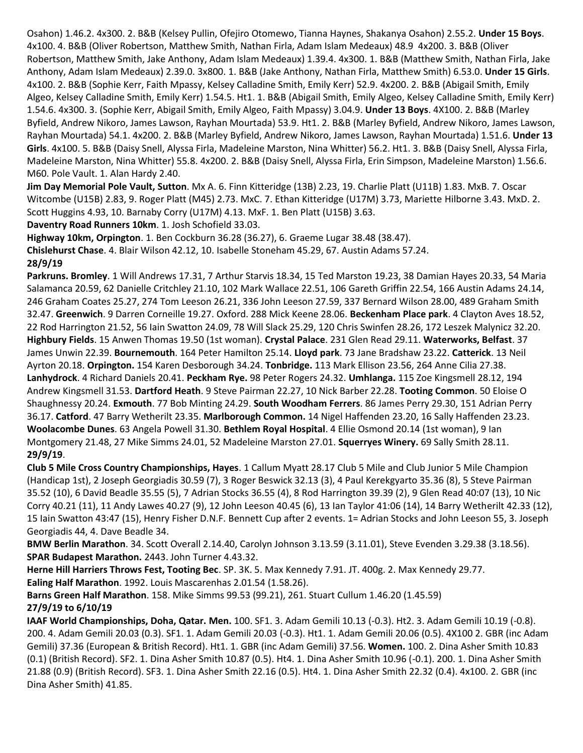Osahon) 1.46.2. 4x300. 2. B&B (Kelsey Pullin, Ofejiro Otomewo, Tianna Haynes, Shakanya Osahon) 2.55.2. **Under 15 Boys**. 4x100. 4. B&B (Oliver Robertson, Matthew Smith, Nathan Firla, Adam Islam Medeaux) 48.9 4x200. 3. B&B (Oliver Robertson, Matthew Smith, Jake Anthony, Adam Islam Medeaux) 1.39.4. 4x300. 1. B&B (Matthew Smith, Nathan Firla, Jake Anthony, Adam Islam Medeaux) 2.39.0. 3x800. 1. B&B (Jake Anthony, Nathan Firla, Matthew Smith) 6.53.0. **Under 15 Girls**. 4x100. 2. B&B (Sophie Kerr, Faith Mpassy, Kelsey Calladine Smith, Emily Kerr) 52.9. 4x200. 2. B&B (Abigail Smith, Emily Algeo, Kelsey Calladine Smith, Emily Kerr) 1.54.5. Ht1. 1. B&B (Abigail Smith, Emily Algeo, Kelsey Calladine Smith, Emily Kerr) 1.54.6. 4x300. 3. (Sophie Kerr, Abigail Smith, Emily Algeo, Faith Mpassy) 3.04.9. **Under 13 Boys**. 4X100. 2. B&B (Marley Byfield, Andrew Nikoro, James Lawson, Rayhan Mourtada) 53.9. Ht1. 2. B&B (Marley Byfield, Andrew Nikoro, James Lawson, Rayhan Mourtada) 54.1. 4x200. 2. B&B (Marley Byfield, Andrew Nikoro, James Lawson, Rayhan Mourtada) 1.51.6. **Under 13 Girls**. 4x100. 5. B&B (Daisy Snell, Alyssa Firla, Madeleine Marston, Nina Whitter) 56.2. Ht1. 3. B&B (Daisy Snell, Alyssa Firla, Madeleine Marston, Nina Whitter) 55.8. 4x200. 2. B&B (Daisy Snell, Alyssa Firla, Erin Simpson, Madeleine Marston) 1.56.6. M60. Pole Vault. 1. Alan Hardy 2.40.

**Jim Day Memorial Pole Vault, Sutton**. Mx A. 6. Finn Kitteridge (13B) 2.23, 19. Charlie Platt (U11B) 1.83. MxB. 7. Oscar Witcombe (U15B) 2.83, 9. Roger Platt (M45) 2.73. MxC. 7. Ethan Kitteridge (U17M) 3.73, Mariette Hilborne 3.43. MxD. 2. Scott Huggins 4.93, 10. Barnaby Corry (U17M) 4.13. MxF. 1. Ben Platt (U15B) 3.63.

**Daventry Road Runners 10km**. 1. Josh Schofield 33.03.

**Highway 10km, Orpington**. 1. Ben Cockburn 36.28 (36.27), 6. Graeme Lugar 38.48 (38.47).

**Chislehurst Chase**. 4. Blair Wilson 42.12, 10. Isabelle Stoneham 45.29, 67. Austin Adams 57.24.

### **28/9/19**

**Parkruns. Bromley**. 1 Will Andrews 17.31, 7 Arthur Starvis 18.34, 15 Ted Marston 19.23, 38 Damian Hayes 20.33, 54 Maria Salamanca 20.59, 62 Danielle Critchley 21.10, 102 Mark Wallace 22.51, 106 Gareth Griffin 22.54, 166 Austin Adams 24.14, 246 Graham Coates 25.27, 274 Tom Leeson 26.21, 336 John Leeson 27.59, 337 Bernard Wilson 28.00, 489 Graham Smith 32.47. **Greenwich**. 9 Darren Corneille 19.27. Oxford. 288 Mick Keene 28.06. **Beckenham Place park**. 4 Clayton Aves 18.52, 22 Rod Harrington 21.52, 56 Iain Swatton 24.09, 78 Will Slack 25.29, 120 Chris Swinfen 28.26, 172 Leszek Malynicz 32.20. **Highbury Fields**. 15 Anwen Thomas 19.50 (1st woman). **Crystal Palace**. 231 Glen Read 29.11. **Waterworks, Belfast**. 37 James Unwin 22.39. **Bournemouth**. 164 Peter Hamilton 25.14. **Lloyd park**. 73 Jane Bradshaw 23.22. **Catterick**. 13 Neil Ayrton 20.18. **Orpington.** 154 Karen Desborough 34.24. **Tonbridge.** 113 Mark Ellison 23.56, 264 Anne Cilia 27.38. **Lanhydrock**. 4 Richard Daniels 20.41. **Peckham Rye.** 98 Peter Rogers 24.32. **Umhlanga.** 115 Zoe Kingsmell 28.12, 194 Andrew Kingsmell 31.53. **Dartford Heath**. 9 Steve Pairman 22.27, 10 Nick Barber 22.28. **Tooting Common**. 50 Eloise O Shaughnessy 20.24. **Exmouth**. 77 Bob Minting 24.29. **South Woodham Ferrers**. 86 James Perry 29.30, 151 Adrian Perry 36.17. **Catford**. 47 Barry Wetherilt 23.35. **Marlborough Common.** 14 Nigel Haffenden 23.20, 16 Sally Haffenden 23.23. **Woolacombe Dunes**. 63 Angela Powell 31.30. **Bethlem Royal Hospital**. 4 Ellie Osmond 20.14 (1st woman), 9 Ian Montgomery 21.48, 27 Mike Simms 24.01, 52 Madeleine Marston 27.01. **Squerryes Winery.** 69 Sally Smith 28.11. **29/9/19**.

**Club 5 Mile Cross Country Championships, Hayes**. 1 Callum Myatt 28.17 Club 5 Mile and Club Junior 5 Mile Champion (Handicap 1st), 2 Joseph Georgiadis 30.59 (7), 3 Roger Beswick 32.13 (3), 4 Paul Kerekgyarto 35.36 (8), 5 Steve Pairman 35.52 (10), 6 David Beadle 35.55 (5), 7 Adrian Stocks 36.55 (4), 8 Rod Harrington 39.39 (2), 9 Glen Read 40:07 (13), 10 Nic Corry 40.21 (11), 11 Andy Lawes 40.27 (9), 12 John Leeson 40.45 (6), 13 Ian Taylor 41:06 (14), 14 Barry Wetherilt 42.33 (12), 15 Iain Swatton 43:47 (15), Henry Fisher D.N.F. Bennett Cup after 2 events. 1= Adrian Stocks and John Leeson 55, 3. Joseph Georgiadis 44, 4. Dave Beadle 34.

**BMW Berlin Marathon**. 34. Scott Overall 2.14.40, Carolyn Johnson 3.13.59 (3.11.01), Steve Evenden 3.29.38 (3.18.56). **SPAR Budapest Marathon.** 2443. John Turner 4.43.32.

**Herne Hill Harriers Throws Fest, Tooting Bec**. SP. 3K. 5. Max Kennedy 7.91. JT. 400g. 2. Max Kennedy 29.77. **Ealing Half Marathon**. 1992. Louis Mascarenhas 2.01.54 (1.58.26).

**Barns Green Half Marathon**. 158. Mike Simms 99.53 (99.21), 261. Stuart Cullum 1.46.20 (1.45.59) **27/9/19 to 6/10/19**

**IAAF World Championships, Doha, Qatar. Men.** 100. SF1. 3. Adam Gemili 10.13 (-0.3). Ht2. 3. Adam Gemili 10.19 (-0.8). 200. 4. Adam Gemili 20.03 (0.3). SF1. 1. Adam Gemili 20.03 (-0.3). Ht1. 1. Adam Gemili 20.06 (0.5). 4X100 2. GBR (inc Adam Gemili) 37.36 (European & British Record). Ht1. 1. GBR (inc Adam Gemili) 37.56. **Women.** 100. 2. Dina Asher Smith 10.83 (0.1) (British Record). SF2. 1. Dina Asher Smith 10.87 (0.5). Ht4. 1. Dina Asher Smith 10.96 (-0.1). 200. 1. Dina Asher Smith 21.88 (0.9) (British Record). SF3. 1. Dina Asher Smith 22.16 (0.5). Ht4. 1. Dina Asher Smith 22.32 (0.4). 4x100. 2. GBR (inc Dina Asher Smith) 41.85.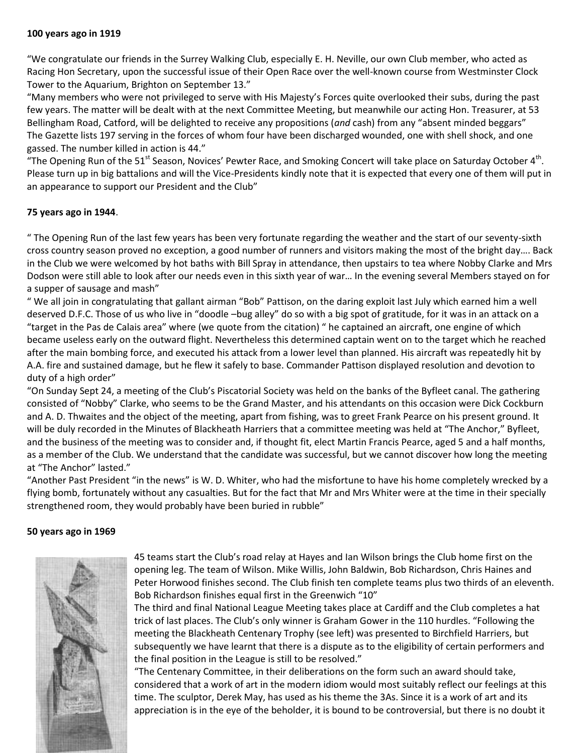#### **100 years ago in 1919**

"We congratulate our friends in the Surrey Walking Club, especially E. H. Neville, our own Club member, who acted as Racing Hon Secretary, upon the successful issue of their Open Race over the well-known course from Westminster Clock Tower to the Aquarium, Brighton on September 13."

"Many members who were not privileged to serve with His Majesty's Forces quite overlooked their subs, during the past few years. The matter will be dealt with at the next Committee Meeting, but meanwhile our acting Hon. Treasurer, at 53 Bellingham Road, Catford, will be delighted to receive any propositions (*and* cash) from any "absent minded beggars" The Gazette lists 197 serving in the forces of whom four have been discharged wounded, one with shell shock, and one gassed. The number killed in action is 44."

"The Opening Run of the 51<sup>st</sup> Season, Novices' Pewter Race, and Smoking Concert will take place on Saturday October 4<sup>th</sup>. Please turn up in big battalions and will the Vice-Presidents kindly note that it is expected that every one of them will put in an appearance to support our President and the Club"

### **75 years ago in 1944**.

" The Opening Run of the last few years has been very fortunate regarding the weather and the start of our seventy-sixth cross country season proved no exception, a good number of runners and visitors making the most of the bright day…. Back in the Club we were welcomed by hot baths with Bill Spray in attendance, then upstairs to tea where Nobby Clarke and Mrs Dodson were still able to look after our needs even in this sixth year of war… In the evening several Members stayed on for a supper of sausage and mash"

" We all join in congratulating that gallant airman "Bob" Pattison, on the daring exploit last July which earned him a well deserved D.F.C. Those of us who live in "doodle –bug alley" do so with a big spot of gratitude, for it was in an attack on a "target in the Pas de Calais area" where (we quote from the citation) " he captained an aircraft, one engine of which became useless early on the outward flight. Nevertheless this determined captain went on to the target which he reached after the main bombing force, and executed his attack from a lower level than planned. His aircraft was repeatedly hit by A.A. fire and sustained damage, but he flew it safely to base. Commander Pattison displayed resolution and devotion to duty of a high order"

"On Sunday Sept 24, a meeting of the Club's Piscatorial Society was held on the banks of the Byfleet canal. The gathering consisted of "Nobby" Clarke, who seems to be the Grand Master, and his attendants on this occasion were Dick Cockburn and A. D. Thwaites and the object of the meeting, apart from fishing, was to greet Frank Pearce on his present ground. It will be duly recorded in the Minutes of Blackheath Harriers that a committee meeting was held at "The Anchor," Byfleet, and the business of the meeting was to consider and, if thought fit, elect Martin Francis Pearce, aged 5 and a half months, as a member of the Club. We understand that the candidate was successful, but we cannot discover how long the meeting at "The Anchor" lasted."

"Another Past President "in the news" is W. D. Whiter, who had the misfortune to have his home completely wrecked by a flying bomb, fortunately without any casualties. But for the fact that Mr and Mrs Whiter were at the time in their specially strengthened room, they would probably have been buried in rubble"

#### **50 years ago in 1969**



45 teams start the Club's road relay at Hayes and Ian Wilson brings the Club home first on the opening leg. The team of Wilson. Mike Willis, John Baldwin, Bob Richardson, Chris Haines and Peter Horwood finishes second. The Club finish ten complete teams plus two thirds of an eleventh. Bob Richardson finishes equal first in the Greenwich "10"

The third and final National League Meeting takes place at Cardiff and the Club completes a hat trick of last places. The Club's only winner is Graham Gower in the 110 hurdles. "Following the meeting the Blackheath Centenary Trophy (see left) was presented to Birchfield Harriers, but subsequently we have learnt that there is a dispute as to the eligibility of certain performers and the final position in the League is still to be resolved."

"The Centenary Committee, in their deliberations on the form such an award should take, considered that a work of art in the modern idiom would most suitably reflect our feelings at this time. The sculptor, Derek May, has used as his theme the 3As. Since it is a work of art and its appreciation is in the eye of the beholder, it is bound to be controversial, but there is no doubt it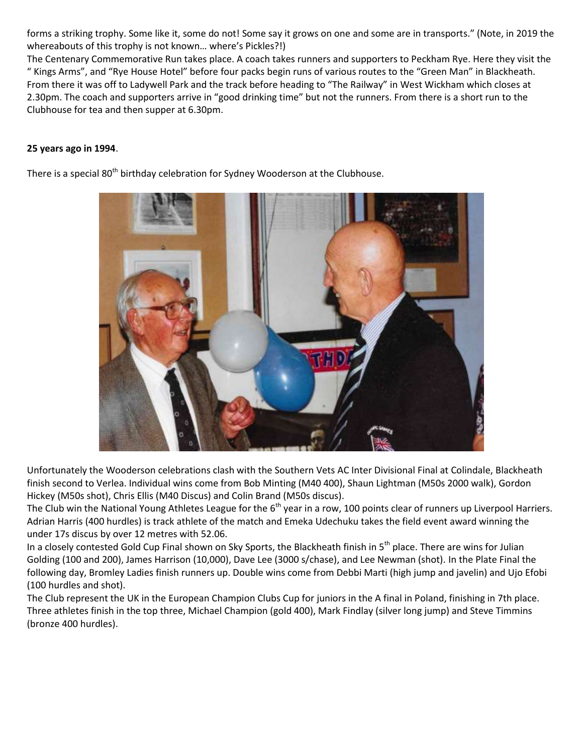forms a striking trophy. Some like it, some do not! Some say it grows on one and some are in transports." (Note, in 2019 the whereabouts of this trophy is not known… where's Pickles?!)

The Centenary Commemorative Run takes place. A coach takes runners and supporters to Peckham Rye. Here they visit the " Kings Arms", and "Rye House Hotel" before four packs begin runs of various routes to the "Green Man" in Blackheath. From there it was off to Ladywell Park and the track before heading to "The Railway" in West Wickham which closes at 2.30pm. The coach and supporters arrive in "good drinking time" but not the runners. From there is a short run to the Clubhouse for tea and then supper at 6.30pm.

### **25 years ago in 1994**.

There is a special 80<sup>th</sup> birthday celebration for Sydney Wooderson at the Clubhouse.



Unfortunately the Wooderson celebrations clash with the Southern Vets AC Inter Divisional Final at Colindale, Blackheath finish second to Verlea. Individual wins come from Bob Minting (M40 400), Shaun Lightman (M50s 2000 walk), Gordon Hickey (M50s shot), Chris Ellis (M40 Discus) and Colin Brand (M50s discus).

The Club win the National Young Athletes League for the 6<sup>th</sup> year in a row, 100 points clear of runners up Liverpool Harriers. Adrian Harris (400 hurdles) is track athlete of the match and Emeka Udechuku takes the field event award winning the under 17s discus by over 12 metres with 52.06.

In a closely contested Gold Cup Final shown on Sky Sports, the Blackheath finish in  $5^{th}$  place. There are wins for Julian Golding (100 and 200), James Harrison (10,000), Dave Lee (3000 s/chase), and Lee Newman (shot). In the Plate Final the following day, Bromley Ladies finish runners up. Double wins come from Debbi Marti (high jump and javelin) and Ujo Efobi (100 hurdles and shot).

The Club represent the UK in the European Champion Clubs Cup for juniors in the A final in Poland, finishing in 7th place. Three athletes finish in the top three, Michael Champion (gold 400), Mark Findlay (silver long jump) and Steve Timmins (bronze 400 hurdles).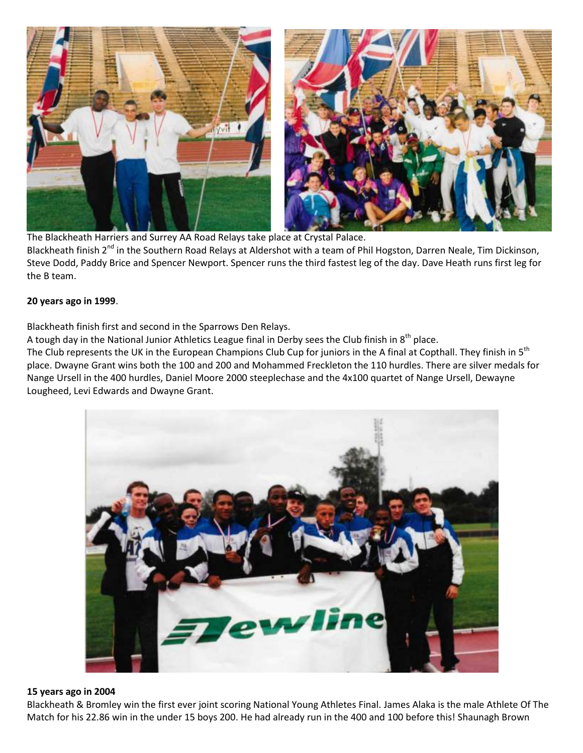

The Blackheath Harriers and Surrey AA Road Relays take place at Crystal Palace. Blackheath finish 2<sup>nd</sup> in the Southern Road Relays at Aldershot with a team of Phil Hogston, Darren Neale, Tim Dickinson, Steve Dodd, Paddy Brice and Spencer Newport. Spencer runs the third fastest leg of the day. Dave Heath runs first leg for the B team.

#### **20 years ago in 1999**.

Blackheath finish first and second in the Sparrows Den Relays.

A tough day in the National Junior Athletics League final in Derby sees the Club finish in  $8<sup>th</sup>$  place.

The Club represents the UK in the European Champions Club Cup for juniors in the A final at Copthall. They finish in  $5<sup>th</sup>$ place. Dwayne Grant wins both the 100 and 200 and Mohammed Freckleton the 110 hurdles. There are silver medals for Nange Ursell in the 400 hurdles, Daniel Moore 2000 steeplechase and the 4x100 quartet of Nange Ursell, Dewayne Lougheed, Levi Edwards and Dwayne Grant.



#### **15 years ago in 2004**

Blackheath & Bromley win the first ever joint scoring National Young Athletes Final. James Alaka is the male Athlete Of The Match for his 22.86 win in the under 15 boys 200. He had already run in the 400 and 100 before this! Shaunagh Brown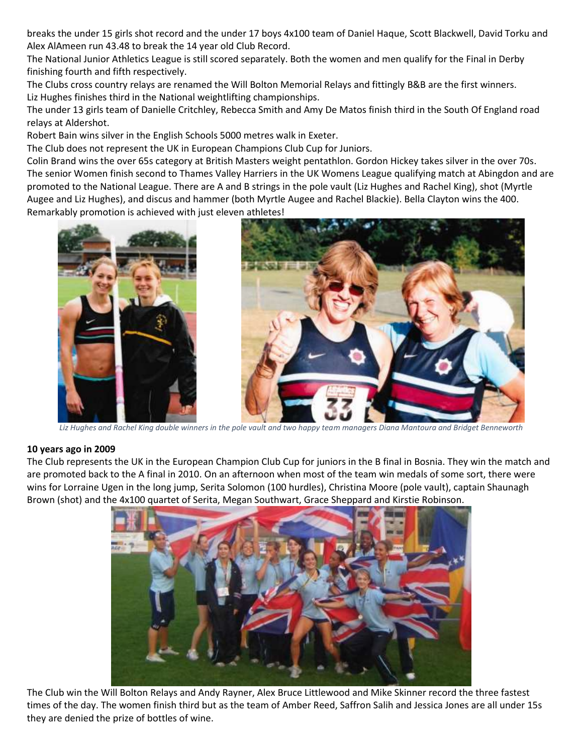breaks the under 15 girls shot record and the under 17 boys 4x100 team of Daniel Haque, Scott Blackwell, David Torku and Alex AlAmeen run 43.48 to break the 14 year old Club Record.

The National Junior Athletics League is still scored separately. Both the women and men qualify for the Final in Derby finishing fourth and fifth respectively.

The Clubs cross country relays are renamed the Will Bolton Memorial Relays and fittingly B&B are the first winners. Liz Hughes finishes third in the National weightlifting championships.

The under 13 girls team of Danielle Critchley, Rebecca Smith and Amy De Matos finish third in the South Of England road relays at Aldershot.

Robert Bain wins silver in the English Schools 5000 metres walk in Exeter.

The Club does not represent the UK in European Champions Club Cup for Juniors.

Colin Brand wins the over 65s category at British Masters weight pentathlon. Gordon Hickey takes silver in the over 70s. The senior Women finish second to Thames Valley Harriers in the UK Womens League qualifying match at Abingdon and are promoted to the National League. There are A and B strings in the pole vault (Liz Hughes and Rachel King), shot (Myrtle Augee and Liz Hughes), and discus and hammer (both Myrtle Augee and Rachel Blackie). Bella Clayton wins the 400. Remarkably promotion is achieved with just eleven athletes!





*Liz Hughes and Rachel King double winners in the pole vault and two happy team managers Diana Mantoura and Bridget Benneworth*

#### **10 years ago in 2009**

The Club represents the UK in the European Champion Club Cup for juniors in the B final in Bosnia. They win the match and are promoted back to the A final in 2010. On an afternoon when most of the team win medals of some sort, there were wins for Lorraine Ugen in the long jump, Serita Solomon (100 hurdles), Christina Moore (pole vault), captain Shaunagh Brown (shot) and the 4x100 quartet of Serita, Megan Southwart, Grace Sheppard and Kirstie Robinson.



The Club win the Will Bolton Relays and Andy Rayner, Alex Bruce Littlewood and Mike Skinner record the three fastest times of the day. The women finish third but as the team of Amber Reed, Saffron Salih and Jessica Jones are all under 15s they are denied the prize of bottles of wine.